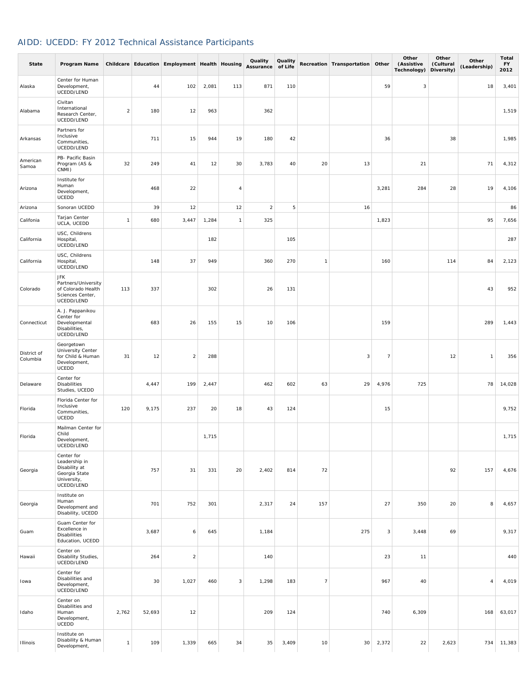## AIDD: UCEDD: FY 2012 Technical Assistance Participants

| State                   | Program Name                                                                               |                |        | Childcare Education Employment Health Housing |       |                | Quality<br>Assurance of Life | Quality |                | Recreation Transportation Other |                | Other<br>(Assistive<br>Technology) | Other<br>(Cultural<br>Diversity) | Other<br>(Leadership) | Total<br><b>FY</b><br>2012 |
|-------------------------|--------------------------------------------------------------------------------------------|----------------|--------|-----------------------------------------------|-------|----------------|------------------------------|---------|----------------|---------------------------------|----------------|------------------------------------|----------------------------------|-----------------------|----------------------------|
| Alaska                  | Center for Human<br>Development,<br>UCEDD/LEND                                             |                | 44     | 102                                           | 2,081 | 113            | 871                          | 110     |                |                                 | 59             | 3                                  |                                  | 18                    | 3,401                      |
| Alabama                 | Civitan<br>International<br>Research Center,<br>UCEDD/LEND                                 | $\overline{a}$ | 180    | 12                                            | 963   |                | 362                          |         |                |                                 |                |                                    |                                  |                       | 1,519                      |
| Arkansas                | Partners for<br>Inclusive<br>Communities,<br>UCEDD/LEND                                    |                | 711    | 15                                            | 944   | 19             | 180                          | 42      |                |                                 | 36             |                                    | 38                               |                       | 1,985                      |
| American<br>Samoa       | PB- Pacific Basin<br>Program (AS &<br>CNMI)                                                | 32             | 249    | 41                                            | 12    | 30             | 3,783                        | 40      | 20             | 13                              |                | 21                                 |                                  | 71                    | 4,312                      |
| Arizona                 | Institute for<br>Human<br>Development,<br>UCEDD                                            |                | 468    | 22                                            |       | 4              |                              |         |                |                                 | 3,281          | 284                                | 28                               | 19                    | 4,106                      |
| Arizona                 | Sonoran UCEDD                                                                              |                | 39     | 12                                            |       | 12             | $\overline{2}$               | 5       |                | 16                              |                |                                    |                                  |                       | 86                         |
| Califonia               | Tarjan Center<br>UCLA, UCEDD                                                               | $\mathbf{1}$   | 680    | 3,447                                         | 1,284 | $\overline{1}$ | 325                          |         |                |                                 | 1,823          |                                    |                                  | 95                    | 7,656                      |
| California              | USC, Childrens<br>Hospital,<br>UCEDD/LEND                                                  |                |        |                                               | 182   |                |                              | 105     |                |                                 |                |                                    |                                  |                       | 287                        |
| California              | USC, Childrens<br>Hospital,<br>UCEDD/LEND                                                  |                | 148    | 37                                            | 949   |                | 360                          | 270     | $\mathbf{1}$   |                                 | 160            |                                    | 114                              | 84                    | 2,123                      |
| Colorado                | <b>JFK</b><br>Partners/University<br>of Colorado Health<br>Sciences Center,<br>UCEDD/LEND  | 113            | 337    |                                               | 302   |                | 26                           | 131     |                |                                 |                |                                    |                                  | 43                    | 952                        |
| Connecticut             | A. J. Pappanikou<br>Center for<br>Developmental<br>Disabilities,<br>UCEDD/LEND             |                | 683    | 26                                            | 155   | 15             | 10                           | 106     |                |                                 | 159            |                                    |                                  | 289                   | 1,443                      |
| District of<br>Columbia | Georgetown<br><b>University Center</b><br>for Child & Human<br>Development,<br>UCEDD       | 31             | 12     | $\overline{a}$                                | 288   |                |                              |         |                | 3                               | $\overline{7}$ |                                    | 12                               | $\mathbf{1}$          | 356                        |
| Delaware                | Center for<br>Disabilities<br>Studies, UCEDD                                               |                | 4,447  | 199                                           | 2,447 |                | 462                          | 602     | 63             | 29                              | 4,976          | 725                                |                                  | 78                    | 14,028                     |
| Florida                 | Florida Center for<br>Inclusive<br>Communities,<br>UCEDD                                   | 120            | 9,175  | 237                                           | 20    | 18             | 43                           | 124     |                |                                 | 15             |                                    |                                  |                       | 9,752                      |
| Florida                 | Mailman Center for<br>Child<br>Development.<br>UCEDD/LEND                                  |                |        |                                               | 1,715 |                |                              |         |                |                                 |                |                                    |                                  |                       | 1,715                      |
| Georgia                 | Center for<br>Leadership in<br>Disability at<br>Georgia State<br>University,<br>UCEDD/LEND |                | 757    | 31                                            | 331   | 20             | 2,402                        | 814     | 72             |                                 |                |                                    | 92                               | 157                   | 4,676                      |
| Georgia                 | Institute on<br>Human<br>Development and<br>Disability, UCEDD                              |                | 701    | 752                                           | 301   |                | 2,317                        | 24      | 157            |                                 | 27             | 350                                | 20                               | 8                     | 4,657                      |
| Guam                    | Guam Center for<br>Excellence in<br><b>Disabilities</b><br>Education, UCEDD                |                | 3,687  | 6                                             | 645   |                | 1,184                        |         |                | 275                             | 3              | 3,448                              | 69                               |                       | 9,317                      |
| Hawaii                  | Center on<br>Disability Studies,<br>UCEDD/LEND                                             |                | 264    | $\mathbf 2$                                   |       |                | 140                          |         |                |                                 | 23             | 11                                 |                                  |                       | 440                        |
| Iowa                    | Center for<br>Disabilities and<br>Development,<br>UCEDD/LEND                               |                | 30     | 1,027                                         | 460   | 3              | 1,298                        | 183     | $\overline{7}$ |                                 | 967            | 40                                 |                                  | 4                     | 4,019                      |
| Idaho                   | Center on<br>Disabilities and<br>Human<br>Development,<br>UCEDD                            | 2,762          | 52,693 | 12                                            |       |                | 209                          | 124     |                |                                 | 740            | 6,309                              |                                  | 168                   | 63,017                     |
| Illinois                | Institute on<br>Disability & Human<br>Development,                                         | $\mathbf{1}$   | 109    | 1,339                                         | 665   | 34             | 35                           | 3,409   | 10             | 30                              | 2,372          | 22                                 | 2,623                            | 734                   | 11,383                     |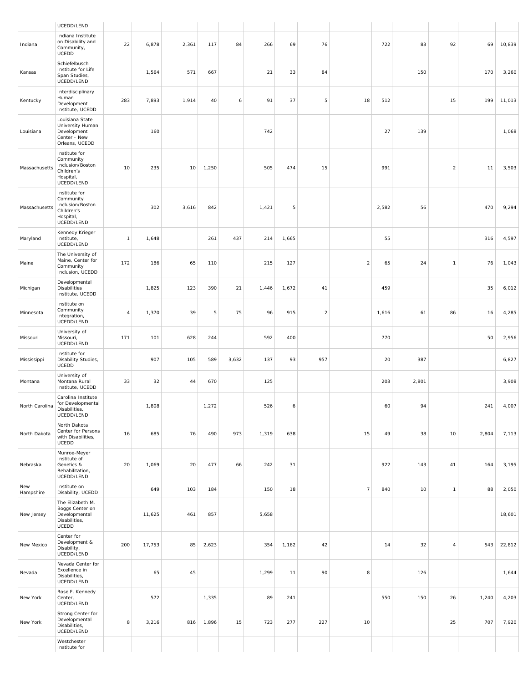|                  | UCEDD/LEND                                                                              |                |        |       |       |       |       |       |             |                |       |       |                |       |        |
|------------------|-----------------------------------------------------------------------------------------|----------------|--------|-------|-------|-------|-------|-------|-------------|----------------|-------|-------|----------------|-------|--------|
| Indiana          | Indiana Institute<br>on Disability and<br>Community,<br>UCEDD                           | 22             | 6,878  | 2,361 | 117   | 84    | 266   | 69    | 76          |                | 722   | 83    | 92             | 69    | 10,839 |
| Kansas           | Schiefelbusch<br>Institute for Life<br>Span Studies,<br>UCEDD/LEND                      |                | 1,564  | 571   | 667   |       | 21    | 33    | 84          |                |       | 150   |                | 170   | 3,260  |
| Kentucky         | Interdisciplinary<br>Human<br>Development<br>Institute, UCEDD                           | 283            | 7,893  | 1,914 | 40    | 6     | 91    | 37    | 5           | 18             | 512   |       | 15             | 199   | 11,013 |
| Louisiana        | Louisiana State<br>University Human<br>Development<br>Center - New<br>Orleans, UCEDD    |                | 160    |       |       |       | 742   |       |             |                | 27    | 139   |                |       | 1,068  |
| Massachusetts    | Institute for<br>Community<br>Inclusion/Boston<br>Children's<br>Hospital,<br>UCEDD/LEND | 10             | 235    | 10    | 1,250 |       | 505   | 474   | 15          |                | 991   |       | $\overline{a}$ | 11    | 3,503  |
| Massachusetts    | Institute for<br>Community<br>Inclusion/Boston<br>Children's<br>Hospital,<br>UCEDD/LEND |                | 302    | 3,616 | 842   |       | 1,421 | 5     |             |                | 2,582 | 56    |                | 470   | 9,294  |
| Maryland         | Kennedy Krieger<br>Institute,<br>UCEDD/LEND                                             | $\mathbf{1}$   | 1,648  |       | 261   | 437   | 214   | 1,665 |             |                | 55    |       |                | 316   | 4,597  |
| Maine            | The University of<br>Maine, Center for<br>Community<br>Inclusion, UCEDD                 | 172            | 186    | 65    | 110   |       | 215   | 127   |             | $\overline{2}$ | 65    | 24    | $\overline{1}$ | 76    | 1,043  |
| Michigan         | Developmental<br>Disabilities<br>Institute, UCEDD                                       |                | 1,825  | 123   | 390   | 21    | 1,446 | 1,672 | 41          |                | 459   |       |                | 35    | 6,012  |
| Minnesota        | Institute on<br>Community<br>Integration,<br>UCEDD/LEND                                 | $\overline{4}$ | 1,370  | 39    | 5     | 75    | 96    | 915   | $\mathbf 2$ |                | 1,616 | 61    | 86             | 16    | 4,285  |
| Missouri         | University of<br>Missouri,<br>UCEDD/LEND                                                | 171            | 101    | 628   | 244   |       | 592   | 400   |             |                | 770   |       |                | 50    | 2,956  |
| Mississippi      | Institute for<br>Disability Studies,<br>UCEDD                                           |                | 907    | 105   | 589   | 3,632 | 137   | 93    | 957         |                | 20    | 387   |                |       | 6,827  |
| Montana          | University of<br>Montana Rural<br>Institute, UCEDD                                      | 33             | 32     | 44    | 670   |       | 125   |       |             |                | 203   | 2,801 |                |       | 3,908  |
| North Carolina   | Carolina Institute<br>for Developmental<br>Disabilities,<br>UCEDD/LEND                  |                | 1,808  |       | 1,272 |       | 526   | 6     |             |                | 60    | 94    |                | 241   | 4,007  |
| North Dakota     | North Dakota<br>Center for Persons<br>with Disabilities,<br>UCEDD                       | 16             | 685    | 76    | 490   | 973   | 1,319 | 638   |             | 15             | 49    | 38    | 10             | 2,804 | 7,113  |
| Nebraska         | Munroe-Meyer<br>Institute of<br>Genetics &<br>Rehabilitation,<br>UCEDD/LEND             | 20             | 1,069  | 20    | 477   | 66    | 242   | 31    |             |                | 922   | 143   | 41             | 164   | 3,195  |
| New<br>Hampshire | Institute on<br>Disability, UCEDD                                                       |                | 649    | 103   | 184   |       | 150   | 18    |             | $\overline{7}$ | 840   | 10    | $\mathbf{1}$   | 88    | 2,050  |
| New Jersey       | The Elizabeth M.<br>Boggs Center on<br>Developmental<br>Disabilities,<br>UCEDD          |                | 11,625 | 461   | 857   |       | 5,658 |       |             |                |       |       |                |       | 18,601 |
| New Mexico       | Center for<br>Development &<br>Disability,<br>UCEDD/LEND                                | 200            | 17,753 | 85    | 2,623 |       | 354   | 1,162 | 42          |                | 14    | 32    | $\overline{4}$ | 543   | 22,812 |
| Nevada           | Nevada Center for<br>Excellence in<br>Disabilities,<br>UCEDD/LEND                       |                | 65     | 45    |       |       | 1,299 | 11    | 90          | 8              |       | 126   |                |       | 1,644  |
| New York         | Rose F. Kennedy<br>Center,<br>UCEDD/LEND                                                |                | 572    |       | 1,335 |       | 89    | 241   |             |                | 550   | 150   | 26             | 1,240 | 4,203  |
| New York         | Strong Center for<br>Developmental<br>Disabilities,<br>UCEDD/LEND                       | 8              | 3,216  | 816   | 1,896 | 15    | 723   | 277   | 227         | 10             |       |       | 25             | 707   | 7,920  |
|                  | Westchester<br>Institute for                                                            |                |        |       |       |       |       |       |             |                |       |       |                |       |        |